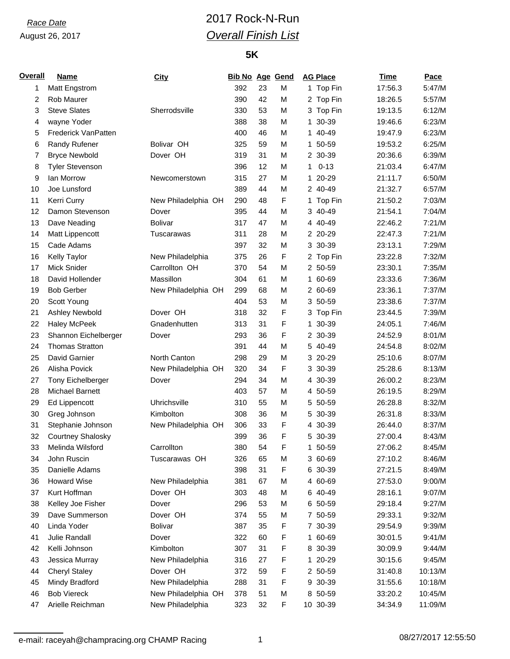### August 26, 2017

## *Race Date* 2017 Rock-N-Run *Overall Finish List*

#### **5K**

| Overall | <b>Name</b>              | <b>City</b>         | <b>Bib No Age Gend</b> |    |   |    | <b>AG Place</b> | Time    | Pace    |
|---------|--------------------------|---------------------|------------------------|----|---|----|-----------------|---------|---------|
| 1       | Matt Engstrom            |                     | 392                    | 23 | M |    | 1 Top Fin       | 17:56.3 | 5:47/M  |
| 2       | Rob Maurer               |                     | 390                    | 42 | M |    | 2 Top Fin       | 18:26.5 | 5:57/M  |
| 3       | <b>Steve Slates</b>      | Sherrodsville       | 330                    | 53 | M |    | 3 Top Fin       | 19:13.5 | 6:12/M  |
| 4       | wayne Yoder              |                     | 388                    | 38 | M |    | 1 30-39         | 19:46.6 | 6:23/M  |
| 5       | Frederick VanPatten      |                     | 400                    | 46 | M |    | 1 40-49         | 19:47.9 | 6:23/M  |
| 6       | Randy Rufener            | Bolivar OH          | 325                    | 59 | M |    | 1 50-59         | 19:53.2 | 6:25/M  |
| 7       | <b>Bryce Newbold</b>     | Dover OH            | 319                    | 31 | M |    | 2 30-39         | 20:36.6 | 6:39/M  |
| 8       | <b>Tyler Stevenson</b>   |                     | 396                    | 12 | M | 1. | $0 - 13$        | 21:03.4 | 6:47/M  |
| 9       | lan Morrow               | Newcomerstown       | 315                    | 27 | M |    | 1 20-29         | 21:11.7 | 6:50/M  |
| 10      | Joe Lunsford             |                     | 389                    | 44 | M |    | 2 40-49         | 21:32.7 | 6:57/M  |
| 11      | Kerri Curry              | New Philadelphia OH | 290                    | 48 | F |    | 1 Top Fin       | 21:50.2 | 7:03/M  |
| 12      | Damon Stevenson          | Dover               | 395                    | 44 | M |    | 3 40-49         | 21:54.1 | 7:04/M  |
| 13      | Dave Neading             | <b>Bolivar</b>      | 317                    | 47 | M |    | 4 40-49         | 22:46.2 | 7:21/M  |
| 14      | Matt Lippencott          | <b>Tuscarawas</b>   | 311                    | 28 | M |    | 2 20-29         | 22:47.3 | 7:21/M  |
| 15      | Cade Adams               |                     | 397                    | 32 | M |    | 3 30-39         | 23:13.1 | 7:29/M  |
| 16      | Kelly Taylor             | New Philadelphia    | 375                    | 26 | F |    | 2 Top Fin       | 23:22.8 | 7:32/M  |
| 17      | Mick Snider              | Carrollton OH       | 370                    | 54 | M |    | 2 50-59         | 23:30.1 | 7:35/M  |
| 18      | David Hollender          | Massillon           | 304                    | 61 | M |    | 1 60-69         | 23:33.6 | 7:36/M  |
| 19      | <b>Bob Gerber</b>        | New Philadelphia OH | 299                    | 68 | M |    | 2 60-69         | 23:36.1 | 7:37/M  |
| 20      | Scott Young              |                     | 404                    | 53 | M |    | 3 50-59         | 23:38.6 | 7:37/M  |
| 21      | <b>Ashley Newbold</b>    | Dover OH            | 318                    | 32 | F |    | 3 Top Fin       | 23:44.5 | 7:39/M  |
| 22      | <b>Haley McPeek</b>      | Gnadenhutten        | 313                    | 31 | F |    | 1 30-39         | 24:05.1 | 7:46/M  |
| 23      | Shannon Eichelberger     | Dover               | 293                    | 36 | F |    | 2 30-39         | 24:52.9 | 8:01/M  |
| 24      | <b>Thomas Stratton</b>   |                     | 391                    | 44 | M |    | 5 40-49         | 24:54.8 | 8:02/M  |
| 25      | David Garnier            | North Canton        | 298                    | 29 | M |    | 3 20-29         | 25:10.6 | 8:07/M  |
| 26      | Alisha Povick            | New Philadelphia OH | 320                    | 34 | F |    | 3 30-39         | 25:28.6 | 8:13/M  |
| 27      |                          |                     | 294                    | 34 | M |    | 4 30-39         |         | 8:23/M  |
| 28      | <b>Tony Eichelberger</b> | Dover               |                        | 57 |   |    |                 | 26:00.2 |         |
|         | <b>Michael Barnett</b>   |                     | 403                    |    | M |    | 4 50-59         | 26:19.5 | 8:29/M  |
| 29      | Ed Lippencott            | Uhrichsville        | 310                    | 55 | M |    | 5 50-59         | 26:28.8 | 8:32/M  |
| 30      | Greg Johnson             | Kimbolton           | 308                    | 36 | M |    | 5 30-39         | 26:31.8 | 8:33/M  |
| 31      | Stephanie Johnson        | New Philadelphia OH | 306                    | 33 | F |    | 4 30-39         | 26:44.0 | 8:37/M  |
| 32      | Courtney Shalosky        |                     | 399                    | 36 | F |    | 5 30-39         | 27:00.4 | 8:43/M  |
| 33      | Melinda Wilsford         | Carrollton          | 380                    | 54 | F |    | 1 50-59         | 27:06.2 | 8:45/M  |
| 34      | John Ruscin              | Tuscarawas OH       | 326                    | 65 | M |    | 3 60-69         | 27:10.2 | 8:46/M  |
| 35      | Danielle Adams           |                     | 398                    | 31 | F |    | 6 30-39         | 27:21.5 | 8:49/M  |
| 36      | <b>Howard Wise</b>       | New Philadelphia    | 381                    | 67 | M |    | 4 60-69         | 27:53.0 | 9:00/M  |
| 37      | Kurt Hoffman             | Dover OH            | 303                    | 48 | M |    | 6 40-49         | 28:16.1 | 9:07/M  |
| 38      | Kelley Joe Fisher        | Dover               | 296                    | 53 | M |    | 6 50-59         | 29:18.4 | 9:27/M  |
| 39      | Dave Summerson           | Dover OH            | 374                    | 55 | М |    | 7 50-59         | 29:33.1 | 9:32/M  |
| 40      | Linda Yoder              | Bolivar             | 387                    | 35 | F |    | 7 30-39         | 29:54.9 | 9:39/M  |
| 41      | Julie Randall            | Dover               | 322                    | 60 | F |    | 1 60-69         | 30:01.5 | 9:41/M  |
| 42      | Kelli Johnson            | Kimbolton           | 307                    | 31 | F |    | 8 30-39         | 30:09.9 | 9:44/M  |
| 43      | Jessica Murray           | New Philadelphia    | 316                    | 27 | F |    | 1 20-29         | 30:15.6 | 9:45/M  |
| 44      | <b>Cheryl Staley</b>     | Dover OH            | 372                    | 59 | F |    | 2 50-59         | 31:40.8 | 10:13/M |
| 45      | Mindy Bradford           | New Philadelphia    | 288                    | 31 | F |    | 9 30-39         | 31:55.6 | 10:18/M |
| 46      | <b>Bob Viereck</b>       | New Philadelphia OH | 378                    | 51 | M |    | 8 50-59         | 33:20.2 | 10:45/M |
| 47      | Arielle Reichman         | New Philadelphia    | 323                    | 32 | F |    | 10 30-39        | 34:34.9 | 11:09/M |

e-mail: raceyah@champracing.org CHAMP Racing 1 08/27/2017 12:55:50